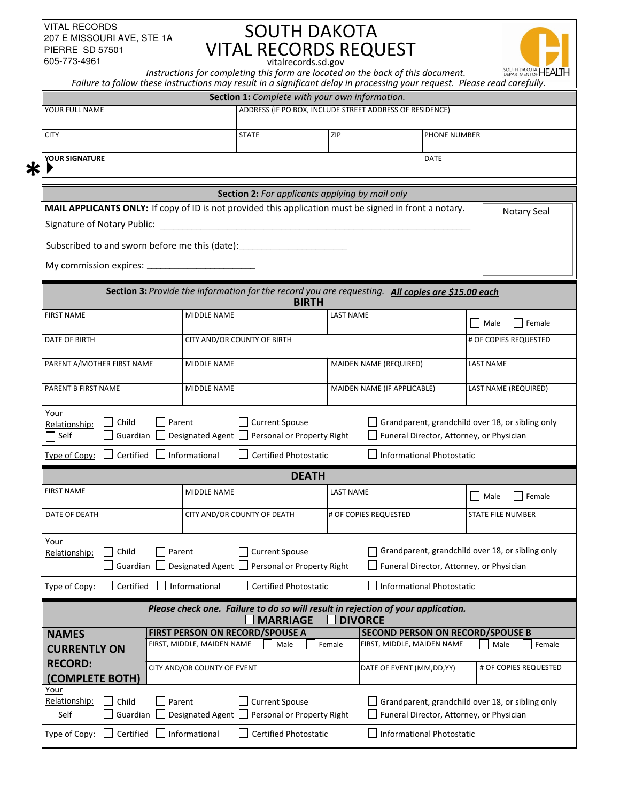#### VITAL RECORDS 207 E MISSOURI AVE, STE 1A PIERRE SD 57501 605-773-4961

**\***

# SOUTH DAKOTA VITAL RECORDS REQUEST vitalrecords.sd.gov

JΗ

| 605-773-4961                                                                                                                                                                                                        |                                                           | vitalrecords.sd.gov                                           |                       | Instructions for completing this form are located on the back of this document.                                           | SOUTH DAKOTA HEAL                                |
|---------------------------------------------------------------------------------------------------------------------------------------------------------------------------------------------------------------------|-----------------------------------------------------------|---------------------------------------------------------------|-----------------------|---------------------------------------------------------------------------------------------------------------------------|--------------------------------------------------|
|                                                                                                                                                                                                                     |                                                           | Section 1: Complete with your own information.                |                       | Failure to follow these instructions may result in a significant delay in processing your request. Please read carefully. |                                                  |
| YOUR FULL NAME                                                                                                                                                                                                      |                                                           |                                                               |                       | ADDRESS (IF PO BOX, INCLUDE STREET ADDRESS OF RESIDENCE)                                                                  |                                                  |
| <b>CITY</b>                                                                                                                                                                                                         |                                                           |                                                               | ZIP<br>PHONE NUMBER   |                                                                                                                           |                                                  |
| YOUR SIGNATURE                                                                                                                                                                                                      |                                                           |                                                               |                       | DATE                                                                                                                      |                                                  |
|                                                                                                                                                                                                                     |                                                           |                                                               |                       |                                                                                                                           |                                                  |
|                                                                                                                                                                                                                     |                                                           | <b>Section 2:</b> For applicants applying by mail only        |                       |                                                                                                                           |                                                  |
| MAIL APPLICANTS ONLY: If copy of ID is not provided this application must be signed in front a notary.<br>Signature of Notary Public:<br>the control of the control of the control of the control of the control of |                                                           |                                                               |                       |                                                                                                                           | Notary Seal                                      |
| Subscribed to and sworn before me this (date):                                                                                                                                                                      |                                                           |                                                               |                       |                                                                                                                           |                                                  |
| My commission expires: __________                                                                                                                                                                                   |                                                           |                                                               |                       |                                                                                                                           |                                                  |
|                                                                                                                                                                                                                     |                                                           | <b>BIRTH</b>                                                  |                       | Section 3: Provide the information for the record you are requesting. All copies are \$15.00 each                         |                                                  |
| <b>FIRST NAME</b>                                                                                                                                                                                                   | MIDDLE NAME                                               |                                                               | <b>LAST NAME</b>      |                                                                                                                           | Female<br>$\mathbf{I}$<br>Male                   |
| DATE OF BIRTH                                                                                                                                                                                                       |                                                           | CITY AND/OR COUNTY OF BIRTH                                   |                       |                                                                                                                           | # OF COPIES REQUESTED                            |
| PARENT A/MOTHER FIRST NAME                                                                                                                                                                                          |                                                           | <b>MIDDLE NAME</b>                                            |                       | <b>MAIDEN NAME (REQUIRED)</b>                                                                                             | <b>LAST NAME</b>                                 |
| PARENT B FIRST NAME                                                                                                                                                                                                 |                                                           | <b>MIDDLE NAME</b>                                            |                       | MAIDEN NAME (IF APPLICABLE)                                                                                               | LAST NAME (REQUIRED)                             |
| Your<br>Child<br>Relationship:<br>Self<br>Guardian                                                                                                                                                                  | Parent                                                    | Current Spouse<br>Designated Agent Personal or Property Right |                       | Funeral Director, Attorney, or Physician                                                                                  | Grandparent, grandchild over 18, or sibling only |
| Certified<br>Type of Copy:                                                                                                                                                                                          | Informational                                             | <b>Certified Photostatic</b>                                  |                       | <b>Informational Photostatic</b>                                                                                          |                                                  |
|                                                                                                                                                                                                                     |                                                           | <b>DEATH</b>                                                  |                       |                                                                                                                           |                                                  |
| <b>FIRST NAME</b>                                                                                                                                                                                                   | <b>MIDDLE NAME</b>                                        |                                                               | <b>LAST NAME</b>      |                                                                                                                           | Male<br>Female                                   |
| DATE OF DEATH                                                                                                                                                                                                       | CITY AND/OR COUNTY OF DEATH                               |                                                               | # OF COPIES REQUESTED |                                                                                                                           | <b>STATE FILE NUMBER</b>                         |
| Your<br>Child<br>Relationship:<br>Guardian                                                                                                                                                                          | Parent<br>Designated Agent                                | <b>Current Spouse</b><br>Personal or Property Right           |                       | Funeral Director, Attorney, or Physician                                                                                  | Grandparent, grandchild over 18, or sibling only |
| Certified<br>Type of Copy:                                                                                                                                                                                          | Informational                                             | <b>Certified Photostatic</b>                                  |                       | <b>Informational Photostatic</b>                                                                                          |                                                  |
|                                                                                                                                                                                                                     |                                                           | <b>MARRIAGE</b>                                               | <b>DIVORCE</b>        | Please check one. Failure to do so will result in rejection of your application.                                          |                                                  |
| <b>NAMES</b>                                                                                                                                                                                                        | FIRST PERSON ON RECORD/SPOUSE A                           |                                                               |                       | <b>SECOND PERSON ON RECORD/SPOUSE B</b>                                                                                   |                                                  |
| <b>CURRENTLY ON</b><br><b>RECORD:</b><br>(COMPLETE BOTH)                                                                                                                                                            | FIRST, MIDDLE, MAIDEN NAME<br>CITY AND/OR COUNTY OF EVENT | Male                                                          | Female                | FIRST, MIDDLE, MAIDEN NAME<br>DATE OF EVENT (MM, DD, YY)                                                                  | Female<br>Male<br># OF COPIES REQUESTED          |
| Your<br>Relationship:<br>Child<br>Guardian<br>$\overline{\phantom{a}}$ Self                                                                                                                                         | $\Box$ Parent<br>Designated Agent $\Box$                  | Current Spouse<br>Personal or Property Right                  |                       | Funeral Director, Attorney, or Physician                                                                                  | Grandparent, grandchild over 18, or sibling only |

Type of Copy:  $\Box$  Certified  $\Box$  Informational  $\Box$  Certified Photostatic  $\Box$  Informational Photostatic